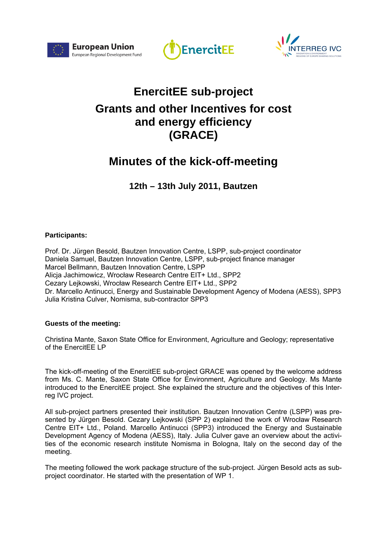





## **EnercitEE sub-project Grants and other Incentives for cost and energy efficiency (GRACE)**

## **Minutes of the kick-off-meeting**

**12th – 13th July 2011, Bautzen** 

## **Participants:**

Prof. Dr. Jürgen Besold, Bautzen Innovation Centre, LSPP, sub-project coordinator Daniela Samuel, Bautzen Innovation Centre, LSPP, sub-project finance manager Marcel Bellmann, Bautzen Innovation Centre, LSPP Alicja Jachimowicz, Wrocław Research Centre EIT+ Ltd., SPP2 Cezary Lejkowski, Wrocław Research Centre EIT+ Ltd., SPP2 Dr. Marcello Antinucci, Energy and Sustainable Development Agency of Modena (AESS), SPP3 Julia Kristina Culver, Nomisma, sub-contractor SPP3

## **Guests of the meeting:**

Christina Mante, Saxon State Office for Environment, Agriculture and Geology; representative of the EnercitEE LP

The kick-off-meeting of the EnercitEE sub-project GRACE was opened by the welcome address from Ms. C. Mante, Saxon State Office for Environment, Agriculture and Geology. Ms Mante introduced to the EnercitEE project. She explained the structure and the objectives of this Interreg IVC project.

All sub-project partners presented their institution. Bautzen Innovation Centre (LSPP) was presented by Jürgen Besold. Cezary Lejkowski (SPP 2) explained the work of Wrocław Research Centre EIT+ Ltd., Poland. Marcello Antinucci (SPP3) introduced the Energy and Sustainable Development Agency of Modena (AESS), Italy. Julia Culver gave an overview about the activities of the economic research institute Nomisma in Bologna, Italy on the second day of the meeting.

The meeting followed the work package structure of the sub-project. Jürgen Besold acts as subproject coordinator. He started with the presentation of WP 1.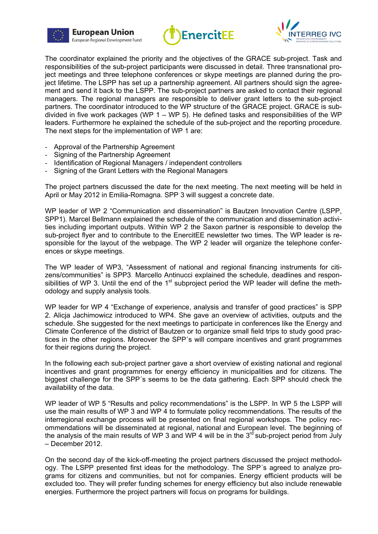





The coordinator explained the priority and the objectives of the GRACE sub-project. Task and responsibilities of the sub-project participants were discussed in detail. Three transnational project meetings and three telephone conferences or skype meetings are planned during the project lifetime. The LSPP has set up a partnership agreement. All partners should sign the agreement and send it back to the LSPP. The sub-project partners are asked to contact their regional managers. The regional managers are responsible to deliver grant letters to the sub-project partners. The coordinator introduced to the WP structure of the GRACE project. GRACE is subdivided in five work packages (WP  $1 - WP 5$ ). He defined tasks and responsibilities of the WP leaders. Furthermore he explained the schedule of the sub-project and the reporting procedure. The next steps for the implementation of WP 1 are:

- Approval of the Partnership Agreement
- Signing of the Partnership Agreement
- Identification of Regional Managers / independent controllers
- Signing of the Grant Letters with the Regional Managers

The project partners discussed the date for the next meeting. The next meeting will be held in April or May 2012 in Emilia-Romagna. SPP 3 will suggest a concrete date.

WP leader of WP 2 "Communication and dissemination" is Bautzen Innovation Centre (LSPP, SPP1). Marcel Bellmann explained the schedule of the communication and dissemination activities including important outputs. Within WP 2 the Saxon partner is responsible to develop the sub-project flyer and to contribute to the EnercitEE newsletter two times. The WP leader is responsible for the layout of the webpage. The WP 2 leader will organize the telephone conferences or skype meetings.

The WP leader of WP3, "Assessment of national and regional financing instruments for citizens/communities" is SPP3. Marcello Antinucci explained the schedule, deadlines and responsibilities of WP 3. Until the end of the  $1<sup>st</sup>$  subproject period the WP leader will define the methodology and supply analysis tools.

WP leader for WP 4 "Exchange of experience, analysis and transfer of good practices" is SPP 2. Alicja Jachimowicz introduced to WP4. She gave an overview of activities, outputs and the schedule. She suggested for the next meetings to participate in conferences like the Energy and Climate Conference of the district of Bautzen or to organize small field trips to study good practices in the other regions. Moreover the SPP´s will compare incentives and grant programmes for their regions during the project.

In the following each sub-project partner gave a short overview of existing national and regional incentives and grant programmes for energy efficiency in municipalities and for citizens. The biggest challenge for the SPP´s seems to be the data gathering. Each SPP should check the availability of the data.

WP leader of WP 5 "Results and policy recommendations" is the LSPP. In WP 5 the LSPP will use the main results of WP 3 and WP 4 to formulate policy recommendations. The results of the interregional exchange process will be presented on final regional workshops. The policy recommendations will be disseminated at regional, national and European level. The beginning of the analysis of the main results of WP 3 and WP 4 will be in the  $3<sup>rd</sup>$  sub-project period from July – December 2012.

On the second day of the kick-off-meeting the project partners discussed the project methodology. The LSPP presented first ideas for the methodology. The SPP´s agreed to analyze programs for citizens and communities, but not for companies. Energy efficient products will be excluded too. They will prefer funding schemes for energy efficiency but also include renewable energies. Furthermore the project partners will focus on programs for buildings.